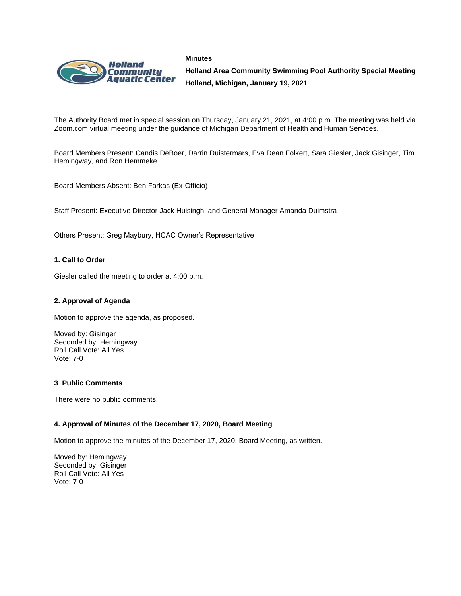



**Holland Area Community Swimming Pool Authority Special Meeting Holland, Michigan, January 19, 2021**

The Authority Board met in special session on Thursday, January 21, 2021, at 4:00 p.m. The meeting was held via Zoom.com virtual meeting under the guidance of Michigan Department of Health and Human Services.

Board Members Present: Candis DeBoer, Darrin Duistermars, Eva Dean Folkert, Sara Giesler, Jack Gisinger, Tim Hemingway, and Ron Hemmeke

Board Members Absent: Ben Farkas (Ex-Officio)

Staff Present: Executive Director Jack Huisingh, and General Manager Amanda Duimstra

Others Present: Greg Maybury, HCAC Owner's Representative

## **1. Call to Order**

Giesler called the meeting to order at 4:00 p.m.

## **2. Approval of Agenda**

Motion to approve the agenda, as proposed.

Moved by: Gisinger Seconded by: Hemingway Roll Call Vote: All Yes Vote: 7-0

## **3**. **Public Comments**

There were no public comments.

## **4. Approval of Minutes of the December 17, 2020, Board Meeting**

Motion to approve the minutes of the December 17, 2020, Board Meeting, as written.

Moved by: Hemingway Seconded by: Gisinger Roll Call Vote: All Yes Vote: 7-0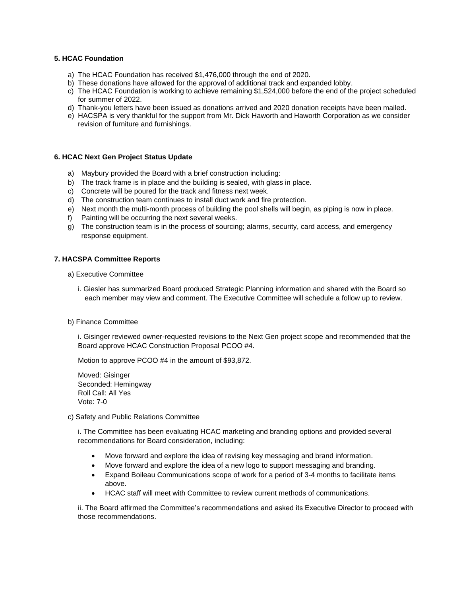#### **5. HCAC Foundation**

- a) The HCAC Foundation has received \$1,476,000 through the end of 2020.
- b) These donations have allowed for the approval of additional track and expanded lobby.
- c) The HCAC Foundation is working to achieve remaining \$1,524,000 before the end of the project scheduled for summer of 2022.
- d) Thank-you letters have been issued as donations arrived and 2020 donation receipts have been mailed.
- e) HACSPA is very thankful for the support from Mr. Dick Haworth and Haworth Corporation as we consider revision of furniture and furnishings.

#### **6. HCAC Next Gen Project Status Update**

- a) Maybury provided the Board with a brief construction including:
- b) The track frame is in place and the building is sealed, with glass in place.
- c) Concrete will be poured for the track and fitness next week.
- d) The construction team continues to install duct work and fire protection.
- e) Next month the multi-month process of building the pool shells will begin, as piping is now in place.
- f) Painting will be occurring the next several weeks.
- g) The construction team is in the process of sourcing; alarms, security, card access, and emergency response equipment.

#### **7. HACSPA Committee Reports**

- a) Executive Committee
	- i. Giesler has summarized Board produced Strategic Planning information and shared with the Board so each member may view and comment. The Executive Committee will schedule a follow up to review.
- b) Finance Committee

i. Gisinger reviewed owner-requested revisions to the Next Gen project scope and recommended that the Board approve HCAC Construction Proposal PCOO #4.

Motion to approve PCOO #4 in the amount of \$93,872.

Moved: Gisinger Seconded: Hemingway Roll Call: All Yes Vote: 7-0

c) Safety and Public Relations Committee

i. The Committee has been evaluating HCAC marketing and branding options and provided several recommendations for Board consideration, including:

- Move forward and explore the idea of revising key messaging and brand information.
- Move forward and explore the idea of a new logo to support messaging and branding.
- Expand Boileau Communications scope of work for a period of 3-4 months to facilitate items above.
- HCAC staff will meet with Committee to review current methods of communications.

ii. The Board affirmed the Committee's recommendations and asked its Executive Director to proceed with those recommendations.